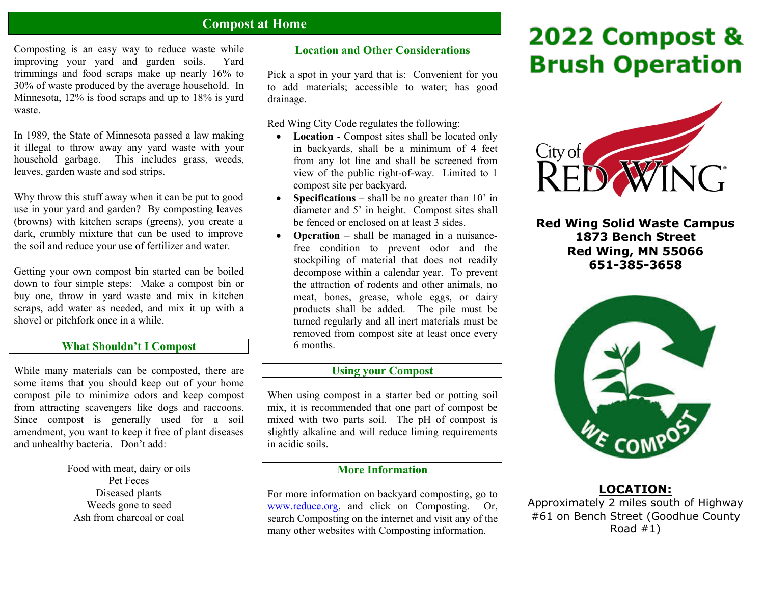# **Compost at Home**

Composting is an easy way to reduce waste while improving your yard and garden soils. Yard trimmings and food scraps make up nearly 16% to 30% of waste produced by the average household. In Minnesota, 12% is food scraps and up to 18% is yard waste.

In 1989, the State of Minnesota passed a law making it illegal to throw away any yard waste with your household garbage. This includes grass, weeds, leaves, garden waste and sod strips.

Why throw this stuff away when it can be put to good use in your yard and garden? By composting leaves (browns) with kitchen scraps (greens), you create a dark, crumbly mixture that can be used to improve the soil and reduce your use of fertilizer and water.

Getting your own compost bin started can be boiled down to four simple steps: Make a compost bin or buy one, throw in yard waste and mix in kitchen scraps, add water as needed, and mix it up with a shovel or pitchfork once in a while.

#### **What Shouldn't I Compost**

While many materials can be composted, there are some items that you should keep out of your home compost pile to minimize odors and keep compost from attracting scavengers like dogs and raccoons. Since compost is generally used for a soil amendment, you want to keep it free of plant diseases and unhealthy bacteria. Don't add:

> Food with meat, dairy or oils Pet Feces Diseased plants Weeds gone to seed Ash from charcoal or coal

# **Location and Other Considerations**

Pick a spot in your yard that is: Convenient for you to add materials; accessible to water; has good drainage.

Red Wing City Code regulates the following:

- **Location** Compost sites shall be located only in backyards, shall be a minimum of 4 feet from any lot line and shall be screened from view of the public right-of-way. Limited to 1 compost site per backyard.
- . **Specifications** – shall be no greater than 10' in diameter and 5' in height. Compost sites shall be fenced or enclosed on at least 3 sides.
- . **Operation** – shall be managed in a nuisancefree condition to prevent odor and the stockpiling of material that does not readily decompose within a calendar year. To prevent the attraction of rodents and other animals, no meat, bones, grease, whole eggs, or dairy products shall be added. The pile must be turned regularly and all inert materials must be removed from compost site at least once every 6 months.

#### **Using your Compost**

When using compost in a starter bed or potting soil mix, it is recommended that one part of compost be mixed with two parts soil. The pH of compost is slightly alkaline and will reduce liming requirements in acidic soils.

# **More Information**

For more information on backyard composting, go to www.reduce.org, and click on Composting. Or, search Composting on the internet and visit any of the many other websites with Composting information.

# 2022 Compost & **Brush Operation**



**Red Wing Solid Waste Campus 1873 Bench Street Red Wing, MN 55066 651-385-3658** 



# **LOCATION:**

Approximately 2 miles south of Highway #61 on Bench Street (Goodhue County Road  $#1)$